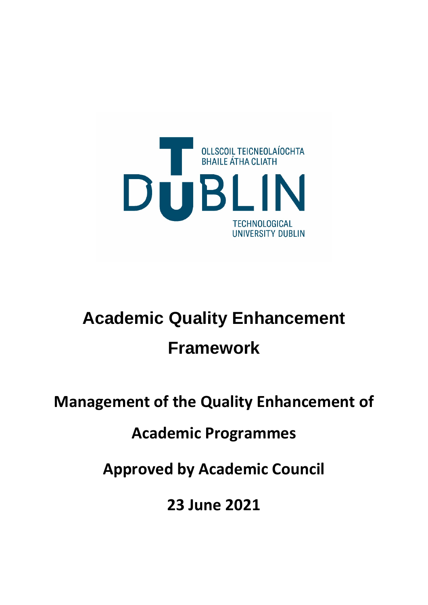

# **Academic Quality Enhancement Framework**

## **Management of the Quality Enhancement of**

### **Academic Programmes**

**Approved by Academic Council**

**23 June 2021**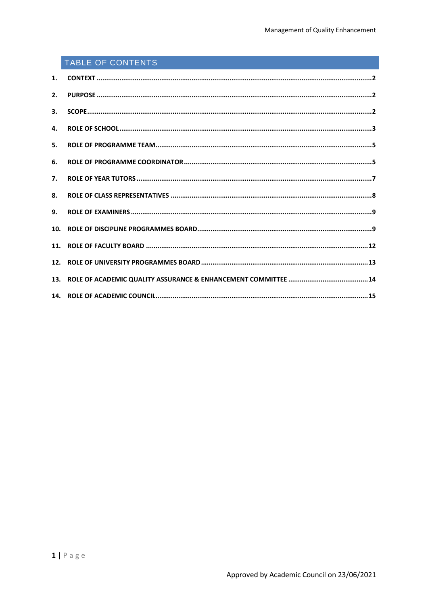### TABLE OF CONTENTS

| 2.              |  |
|-----------------|--|
| 3.              |  |
| 4.              |  |
| 5.              |  |
| 6.              |  |
| 7 <sub>1</sub>  |  |
| 8.              |  |
| 9.              |  |
| 10 <sub>1</sub> |  |
|                 |  |
|                 |  |
|                 |  |
|                 |  |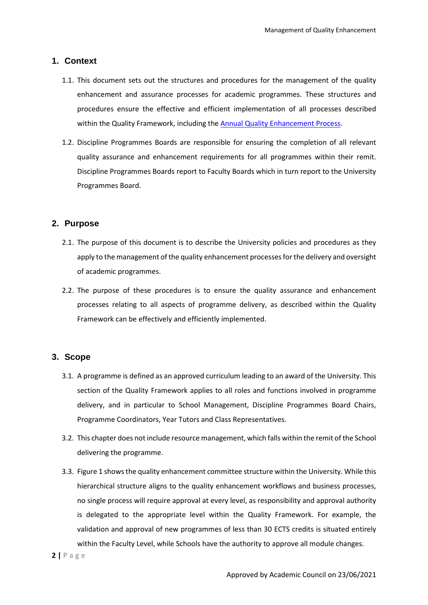#### <span id="page-2-0"></span>**1. Context**

- 1.1. This document sets out the structures and procedures for the management of the quality enhancement and assurance processes for academic programmes. These structures and procedures ensure the effective and efficient implementation of all processes described within the Quality Framework, including the Annual Quality Enhancement Process.
- 1.2. Discipline Programmes Boards are responsible for ensuring the completion of all relevant quality assurance and enhancement requirements for all programmes within their remit. Discipline Programmes Boards report to Faculty Boards which in turn report to the University Programmes Board.

#### <span id="page-2-1"></span>**2. Purpose**

- 2.1. The purpose of this document is to describe the University policies and procedures as they apply to the management of the quality enhancement processes for the delivery and oversight of academic programmes.
- 2.2. The purpose of these procedures is to ensure the quality assurance and enhancement processes relating to all aspects of programme delivery, as described within the Quality Framework can be effectively and efficiently implemented.

#### <span id="page-2-2"></span>**3. Scope**

- 3.1. A programme is defined as an approved curriculum leading to an award of the University. This section of the Quality Framework applies to all roles and functions involved in programme delivery, and in particular to School Management, Discipline Programmes Board Chairs, Programme Coordinators, Year Tutors and Class Representatives.
- 3.2. This chapter does not include resource management, which falls within the remit of the School delivering the programme.
- 3.3. Figure 1 shows the quality enhancement committee structure within the University. While this hierarchical structure aligns to the quality enhancement workflows and business processes, no single process will require approval at every level, as responsibility and approval authority is delegated to the appropriate level within the Quality Framework. For example, the validation and approval of new programmes of less than 30 ECTS credits is situated entirely within the Faculty Level, while Schools have the authority to approve all module changes.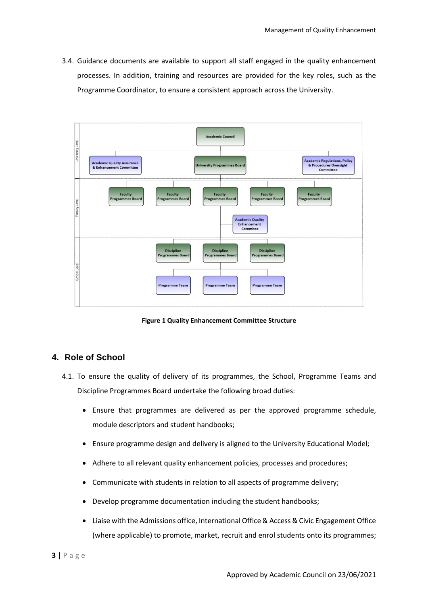3.4. Guidance documents are available to support all staff engaged in the quality enhancement processes. In addition, training and resources are provided for the key roles, such as the Programme Coordinator, to ensure a consistent approach across the University.



**Figure 1 Quality Enhancement Committee Structure**

#### <span id="page-3-0"></span>**4. Role of School**

- 4.1. To ensure the quality of delivery of its programmes, the School, Programme Teams and Discipline Programmes Board undertake the following broad duties:
	- Ensure that programmes are delivered as per the approved programme schedule, module descriptors and student handbooks;
	- Ensure programme design and delivery is aligned to the University Educational Model;
	- Adhere to all relevant quality enhancement policies, processes and procedures;
	- Communicate with students in relation to all aspects of programme delivery;
	- Develop programme documentation including the student handbooks;
	- Liaise with the Admissions office, International Office & Access & Civic Engagement Office (where applicable) to promote, market, recruit and enrol students onto its programmes;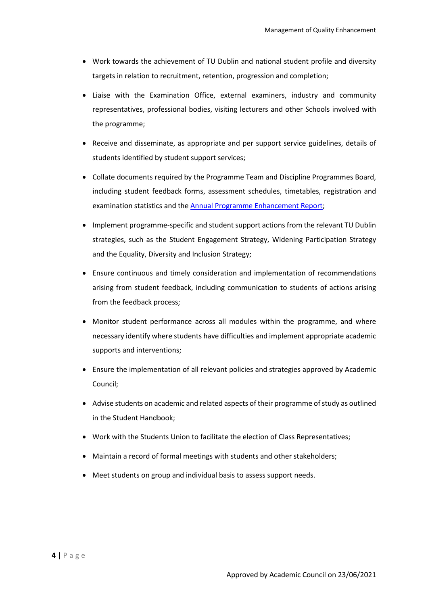- Work towards the achievement of TU Dublin and national student profile and diversity targets in relation to recruitment, retention, progression and completion;
- Liaise with the Examination Office, external examiners, industry and community representatives, professional bodies, visiting lecturers and other Schools involved with the programme;
- Receive and disseminate, as appropriate and per support service guidelines, details of students identified by student support services;
- Collate documents required by the Programme Team and Discipline Programmes Board, including student feedback forms, assessment schedules, timetables, registration and examination statistics and the Annual Programme Enhancement Report;
- Implement programme-specific and student support actions from the relevant TU Dublin strategies, such as the Student Engagement Strategy, Widening Participation Strategy and the Equality, Diversity and Inclusion Strategy;
- Ensure continuous and timely consideration and implementation of recommendations arising from student feedback, including communication to students of actions arising from the feedback process;
- Monitor student performance across all modules within the programme, and where necessary identify where students have difficulties and implement appropriate academic supports and interventions;
- Ensure the implementation of all relevant policies and strategies approved by Academic Council;
- Advise students on academic and related aspects of their programme of study as outlined in the Student Handbook;
- Work with the Students Union to facilitate the election of Class Representatives;
- Maintain a record of formal meetings with students and other stakeholders;
- Meet students on group and individual basis to assess support needs.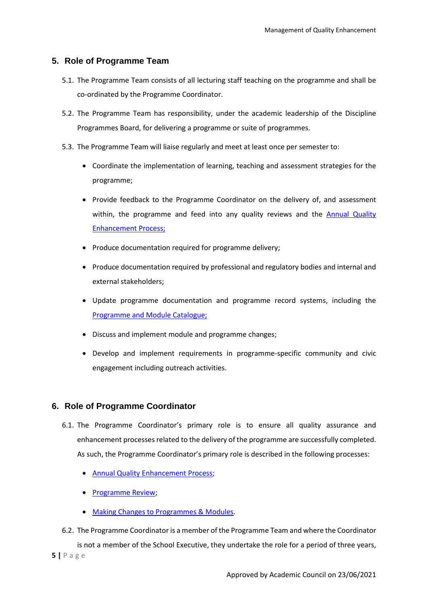#### <span id="page-5-0"></span>**5. Role of Programme Team**

- 5.1. The Programme Team consists of all lecturing staff teaching on the programme and shall be co-ordinated by the Programme Coordinator.
- 5.2. The Programme Team has responsibility, under the academic leadership of the Discipline Programmes Board, for delivering a programme or suite of programmes.
- 5.3. The Programme Team will liaise regularly and meet at least once per semester to:
	- Coordinate the implementation of learning, teaching and assessment strategies for the programme;
	- Provide feedback to the Programme Coordinator on the delivery of, and assessment within, the programme and feed into any quality reviews and the Annual Quality Enhancement Process;
	- Produce documentation required for programme delivery;
	- Produce documentation required by professional and regulatory bodies and internal and external stakeholders;
	- Update programme documentation and programme record systems, including the [Programme and Module Catalogue;](https://dit.akarisoftware.com/curriculum/)
	- Discuss and implement module and programme changes;
	- Develop and implement requirements in programme-specific community and civic engagement including outreach activities.

#### <span id="page-5-1"></span>**6. Role of Programme Coordinator**

- 6.1. The Programme Coordinator's primary role is to ensure all quality assurance and enhancement processes related to the delivery of the programme are successfully completed. As such, the Programme Coordinator's primary role is described in the following processes:
	- Annual Quality Enhancement Process;
	- Programme Review;
	- Making Changes to Programmes & Modules.
- **5 |** Page 6.2. The Programme Coordinator is a member of the Programme Team and where the Coordinator is not a member of the School Executive, they undertake the role for a period of three years,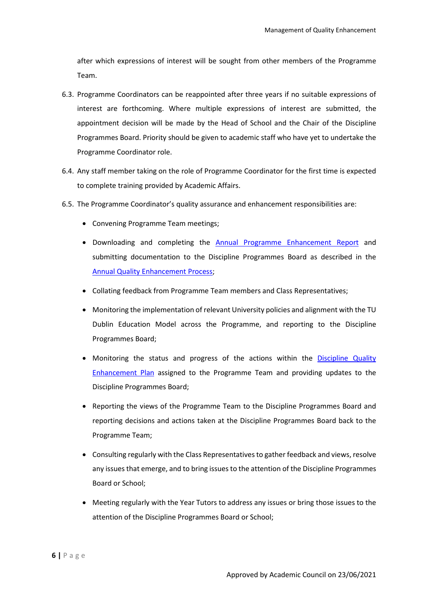after which expressions of interest will be sought from other members of the Programme Team.

- 6.3. Programme Coordinators can be reappointed after three years if no suitable expressions of interest are forthcoming. Where multiple expressions of interest are submitted, the appointment decision will be made by the Head of School and the Chair of the Discipline Programmes Board. Priority should be given to academic staff who have yet to undertake the Programme Coordinator role.
- 6.4. Any staff member taking on the role of Programme Coordinator for the first time is expected to complete training provided by Academic Affairs.
- 6.5. The Programme Coordinator's quality assurance and enhancement responsibilities are:
	- Convening Programme Team meetings;
	- Downloading and completing the Annual Programme Enhancement Report and submitting documentation to the Discipline Programmes Board as described in the Annual Quality Enhancement Process;
	- Collating feedback from Programme Team members and Class Representatives;
	- Monitoring the implementation of relevant University policies and alignment with the TU Dublin Education Model across the Programme, and reporting to the Discipline Programmes Board;
	- Monitoring the status and progress of the actions within the Discipline Quality Enhancement Plan assigned to the Programme Team and providing updates to the Discipline Programmes Board;
	- Reporting the views of the Programme Team to the Discipline Programmes Board and reporting decisions and actions taken at the Discipline Programmes Board back to the Programme Team;
	- Consulting regularly with the Class Representatives to gather feedback and views, resolve any issues that emerge, and to bring issues to the attention of the Discipline Programmes Board or School;
	- Meeting regularly with the Year Tutors to address any issues or bring those issues to the attention of the Discipline Programmes Board or School;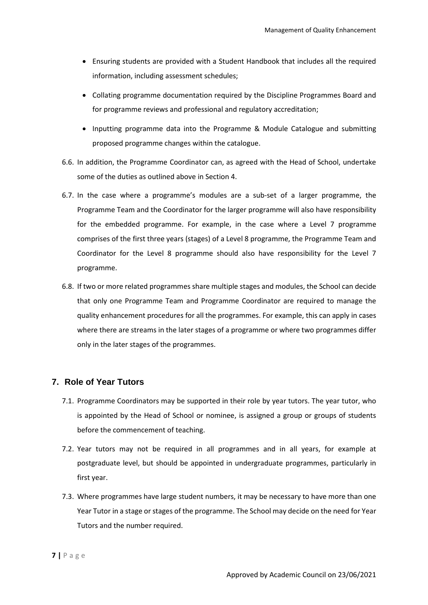- Ensuring students are provided with a Student Handbook that includes all the required information, including assessment schedules;
- Collating programme documentation required by the Discipline Programmes Board and for programme reviews and professional and regulatory accreditation;
- Inputting programme data into the Programme & Module Catalogue and submitting proposed programme changes within the catalogue.
- 6.6. In addition, the Programme Coordinator can, as agreed with the Head of School, undertake some of the duties as outlined above in Section 4.
- 6.7. In the case where a programme's modules are a sub-set of a larger programme, the Programme Team and the Coordinator for the larger programme will also have responsibility for the embedded programme. For example, in the case where a Level 7 programme comprises of the first three years (stages) of a Level 8 programme, the Programme Team and Coordinator for the Level 8 programme should also have responsibility for the Level 7 programme.
- 6.8. If two or more related programmes share multiple stages and modules, the School can decide that only one Programme Team and Programme Coordinator are required to manage the quality enhancement procedures for all the programmes. For example, this can apply in cases where there are streams in the later stages of a programme or where two programmes differ only in the later stages of the programmes.

#### <span id="page-7-0"></span>**7. Role of Year Tutors**

- 7.1. Programme Coordinators may be supported in their role by year tutors. The year tutor, who is appointed by the Head of School or nominee, is assigned a group or groups of students before the commencement of teaching.
- 7.2. Year tutors may not be required in all programmes and in all years, for example at postgraduate level, but should be appointed in undergraduate programmes, particularly in first year.
- 7.3. Where programmes have large student numbers, it may be necessary to have more than one Year Tutor in a stage or stages of the programme. The School may decide on the need for Year Tutors and the number required.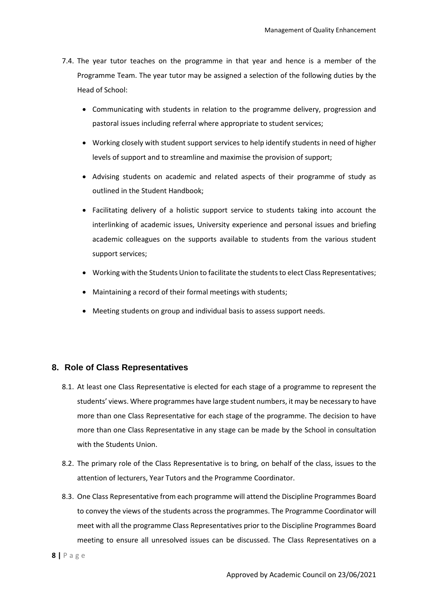- 7.4. The year tutor teaches on the programme in that year and hence is a member of the Programme Team. The year tutor may be assigned a selection of the following duties by the Head of School:
	- Communicating with students in relation to the programme delivery, progression and pastoral issues including referral where appropriate to student services;
	- Working closely with student support services to help identify students in need of higher levels of support and to streamline and maximise the provision of support;
	- Advising students on academic and related aspects of their programme of study as outlined in the Student Handbook;
	- Facilitating delivery of a holistic support service to students taking into account the interlinking of academic issues, University experience and personal issues and briefing academic colleagues on the supports available to students from the various student support services;
	- Working with the Students Union to facilitate the students to elect Class Representatives;
	- Maintaining a record of their formal meetings with students;
	- Meeting students on group and individual basis to assess support needs.

#### <span id="page-8-0"></span>**8. Role of Class Representatives**

- 8.1. At least one Class Representative is elected for each stage of a programme to represent the students' views. Where programmes have large student numbers, it may be necessary to have more than one Class Representative for each stage of the programme. The decision to have more than one Class Representative in any stage can be made by the School in consultation with the Students Union.
- 8.2. The primary role of the Class Representative is to bring, on behalf of the class, issues to the attention of lecturers, Year Tutors and the Programme Coordinator.
- 8.3. One Class Representative from each programme will attend the Discipline Programmes Board to convey the views of the students across the programmes. The Programme Coordinator will meet with all the programme Class Representatives prior to the Discipline Programmes Board meeting to ensure all unresolved issues can be discussed. The Class Representatives on a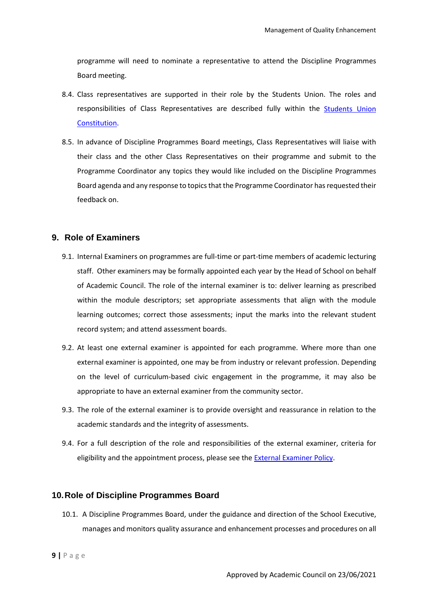programme will need to nominate a representative to attend the Discipline Programmes Board meeting.

- 8.4. Class representatives are supported in their role by the Students Union. The roles and responsibilities of Class Representatives are described fully within the Students Union Constitution.
- 8.5. In advance of Discipline Programmes Board meetings, Class Representatives will liaise with their class and the other Class Representatives on their programme and submit to the Programme Coordinator any topics they would like included on the Discipline Programmes Board agenda and any response to topics that the Programme Coordinator has requested their feedback on.

#### <span id="page-9-0"></span>**9. Role of Examiners**

- 9.1. Internal Examiners on programmes are full-time or part-time members of academic lecturing staff. Other examiners may be formally appointed each year by the Head of School on behalf of Academic Council. The role of the internal examiner is to: deliver learning as prescribed within the module descriptors; set appropriate assessments that align with the module learning outcomes; correct those assessments; input the marks into the relevant student record system; and attend assessment boards.
- 9.2. At least one external examiner is appointed for each programme. Where more than one external examiner is appointed, one may be from industry or relevant profession. Depending on the level of curriculum-based civic engagement in the programme, it may also be appropriate to have an external examiner from the community sector.
- 9.3. The role of the external examiner is to provide oversight and reassurance in relation to the academic standards and the integrity of assessments.
- 9.4. For a full description of the role and responsibilities of the external examiner, criteria for eligibility and the appointment process, please see the External Examiner Policy.

#### <span id="page-9-1"></span>**10.Role of Discipline Programmes Board**

10.1. A Discipline Programmes Board, under the guidance and direction of the School Executive, manages and monitors quality assurance and enhancement processes and procedures on all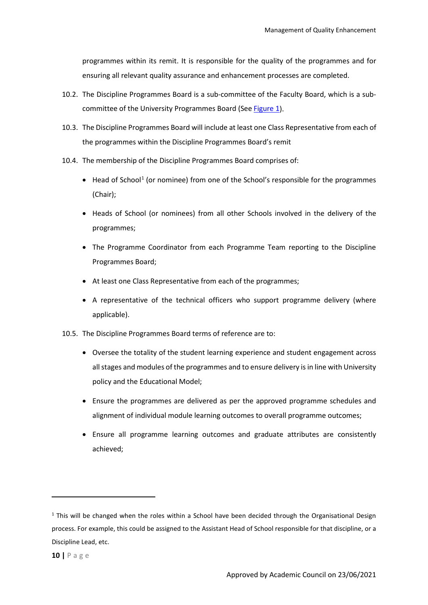programmes within its remit. It is responsible for the quality of the programmes and for ensuring all relevant quality assurance and enhancement processes are completed.

- 10.2. The Discipline Programmes Board is a sub-committee of the Faculty Board, which is a subcommittee of the University Programmes Board (See Figure 1).
- 10.3. The Discipline Programmes Board will include at least one Class Representative from each of the programmes within the Discipline Programmes Board's remit
- 10.4. The membership of the Discipline Programmes Board comprises of:
	- Head of School<sup>[1](#page-10-0)</sup> (or nominee) from one of the School's responsible for the programmes (Chair);
	- Heads of School (or nominees) from all other Schools involved in the delivery of the programmes;
	- The Programme Coordinator from each Programme Team reporting to the Discipline Programmes Board;
	- At least one Class Representative from each of the programmes;
	- A representative of the technical officers who support programme delivery (where applicable).
- 10.5. The Discipline Programmes Board terms of reference are to:
	- Oversee the totality of the student learning experience and student engagement across all stages and modules of the programmes and to ensure delivery is in line with University policy and the Educational Model;
	- Ensure the programmes are delivered as per the approved programme schedules and alignment of individual module learning outcomes to overall programme outcomes;
	- Ensure all programme learning outcomes and graduate attributes are consistently achieved;

<u>.</u>

<span id="page-10-0"></span> $1$  This will be changed when the roles within a School have been decided through the Organisational Design process. For example, this could be assigned to the Assistant Head of School responsible for that discipline, or a Discipline Lead, etc.

**<sup>10</sup> |** Page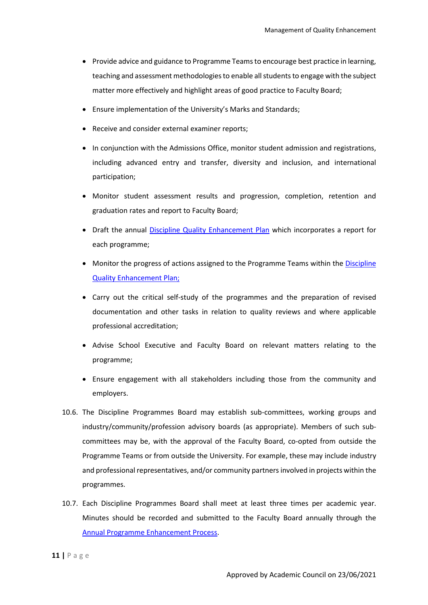- Provide advice and guidance to Programme Teams to encourage best practice in learning, teaching and assessment methodologies to enable all students to engage with the subject matter more effectively and highlight areas of good practice to Faculty Board;
- Ensure implementation of the University's Marks and Standards;
- Receive and consider external examiner reports;
- In conjunction with the Admissions Office, monitor student admission and registrations, including advanced entry and transfer, diversity and inclusion, and international participation;
- Monitor student assessment results and progression, completion, retention and graduation rates and report to Faculty Board;
- Draft the annual Discipline Quality Enhancement Plan which incorporates a report for each programme;
- Monitor the progress of actions assigned to the Programme Teams within the Discipline Quality Enhancement Plan;
- Carry out the critical self-study of the programmes and the preparation of revised documentation and other tasks in relation to quality reviews and where applicable professional accreditation;
- Advise School Executive and Faculty Board on relevant matters relating to the programme;
- Ensure engagement with all stakeholders including those from the community and employers.
- 10.6. The Discipline Programmes Board may establish sub-committees, working groups and industry/community/profession advisory boards (as appropriate). Members of such subcommittees may be, with the approval of the Faculty Board, co-opted from outside the Programme Teams or from outside the University. For example, these may include industry and professional representatives, and/or community partners involved in projects within the programmes.
- 10.7. Each Discipline Programmes Board shall meet at least three times per academic year. Minutes should be recorded and submitted to the Faculty Board annually through the Annual Programme Enhancement Process.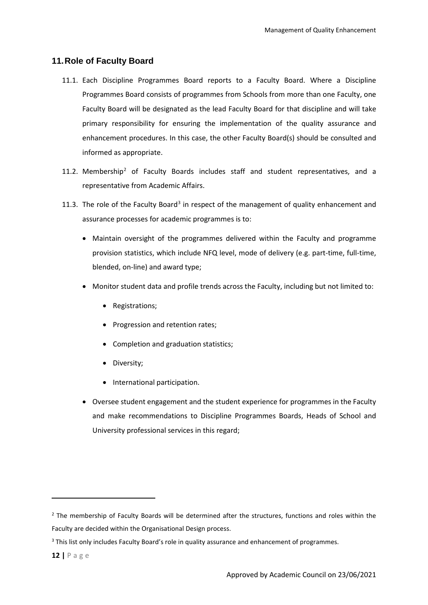#### <span id="page-12-0"></span>**11.Role of Faculty Board**

- 11.1. Each Discipline Programmes Board reports to a Faculty Board. Where a Discipline Programmes Board consists of programmes from Schools from more than one Faculty, one Faculty Board will be designated as the lead Faculty Board for that discipline and will take primary responsibility for ensuring the implementation of the quality assurance and enhancement procedures. In this case, the other Faculty Board(s) should be consulted and informed as appropriate.
- 11.[2](#page-12-1). Membership<sup>2</sup> of Faculty Boards includes staff and student representatives, and a representative from Academic Affairs.
- 11.[3](#page-12-2). The role of the Faculty Board<sup>3</sup> in respect of the management of quality enhancement and assurance processes for academic programmes is to:
	- Maintain oversight of the programmes delivered within the Faculty and programme provision statistics, which include NFQ level, mode of delivery (e.g. part-time, full-time, blended, on-line) and award type;
	- Monitor student data and profile trends across the Faculty, including but not limited to:
		- Registrations;
		- Progression and retention rates;
		- Completion and graduation statistics;
		- Diversity;
		- International participation.
	- Oversee student engagement and the student experience for programmes in the Faculty and make recommendations to Discipline Programmes Boards, Heads of School and University professional services in this regard;

**.** 

<span id="page-12-1"></span> $<sup>2</sup>$  The membership of Faculty Boards will be determined after the structures, functions and roles within the</sup> Faculty are decided within the Organisational Design process.

<span id="page-12-2"></span><sup>&</sup>lt;sup>3</sup> This list only includes Faculty Board's role in quality assurance and enhancement of programmes.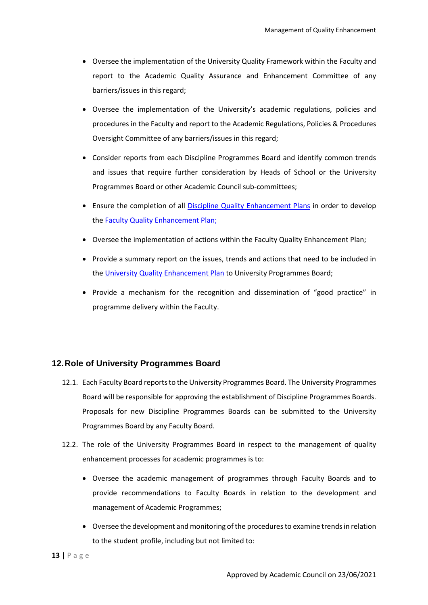- Oversee the implementation of the University Quality Framework within the Faculty and report to the Academic Quality Assurance and Enhancement Committee of any barriers/issues in this regard;
- Oversee the implementation of the University's academic regulations, policies and procedures in the Faculty and report to the Academic Regulations, Policies & Procedures Oversight Committee of any barriers/issues in this regard;
- Consider reports from each Discipline Programmes Board and identify common trends and issues that require further consideration by Heads of School or the University Programmes Board or other Academic Council sub-committees;
- Ensure the completion of all Discipline Quality Enhancement Plans in order to develop the Faculty Quality Enhancement Plan;
- Oversee the implementation of actions within the Faculty Quality Enhancement Plan;
- Provide a summary report on the issues, trends and actions that need to be included in the University Quality Enhancement Plan to University Programmes Board;
- Provide a mechanism for the recognition and dissemination of "good practice" in programme delivery within the Faculty.

#### <span id="page-13-0"></span>**12.Role of University Programmes Board**

- 12.1. Each Faculty Board reports to the University Programmes Board. The University Programmes Board will be responsible for approving the establishment of Discipline Programmes Boards. Proposals for new Discipline Programmes Boards can be submitted to the University Programmes Board by any Faculty Board.
- 12.2. The role of the University Programmes Board in respect to the management of quality enhancement processes for academic programmes is to:
	- Oversee the academic management of programmes through Faculty Boards and to provide recommendations to Faculty Boards in relation to the development and management of Academic Programmes;
	- Oversee the development and monitoring of the procedures to examine trends in relation to the student profile, including but not limited to: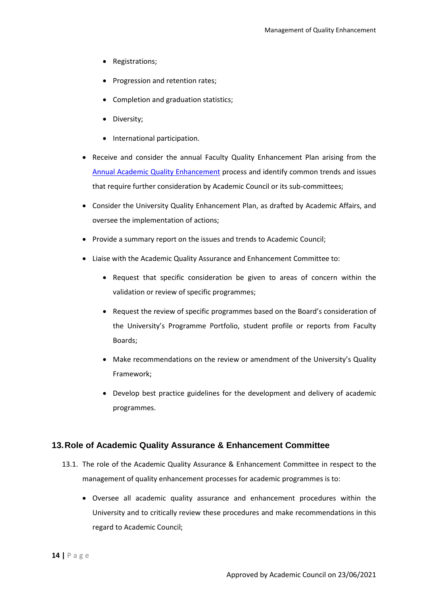- Registrations;
- Progression and retention rates;
- Completion and graduation statistics;
- Diversity;
- International participation.
- Receive and consider the annual Faculty Quality Enhancement Plan arising from the Annual Academic Quality Enhancement process and identify common trends and issues that require further consideration by Academic Council or its sub-committees;
- Consider the University Quality Enhancement Plan, as drafted by Academic Affairs, and oversee the implementation of actions;
- Provide a summary report on the issues and trends to Academic Council;
- Liaise with the Academic Quality Assurance and Enhancement Committee to:
	- Request that specific consideration be given to areas of concern within the validation or review of specific programmes;
	- Request the review of specific programmes based on the Board's consideration of the University's Programme Portfolio, student profile or reports from Faculty Boards;
	- Make recommendations on the review or amendment of the University's Quality Framework;
	- Develop best practice guidelines for the development and delivery of academic programmes.

#### <span id="page-14-0"></span>**13.Role of Academic Quality Assurance & Enhancement Committee**

- 13.1. The role of the Academic Quality Assurance & Enhancement Committee in respect to the management of quality enhancement processes for academic programmes is to:
	- Oversee all academic quality assurance and enhancement procedures within the University and to critically review these procedures and make recommendations in this regard to Academic Council;